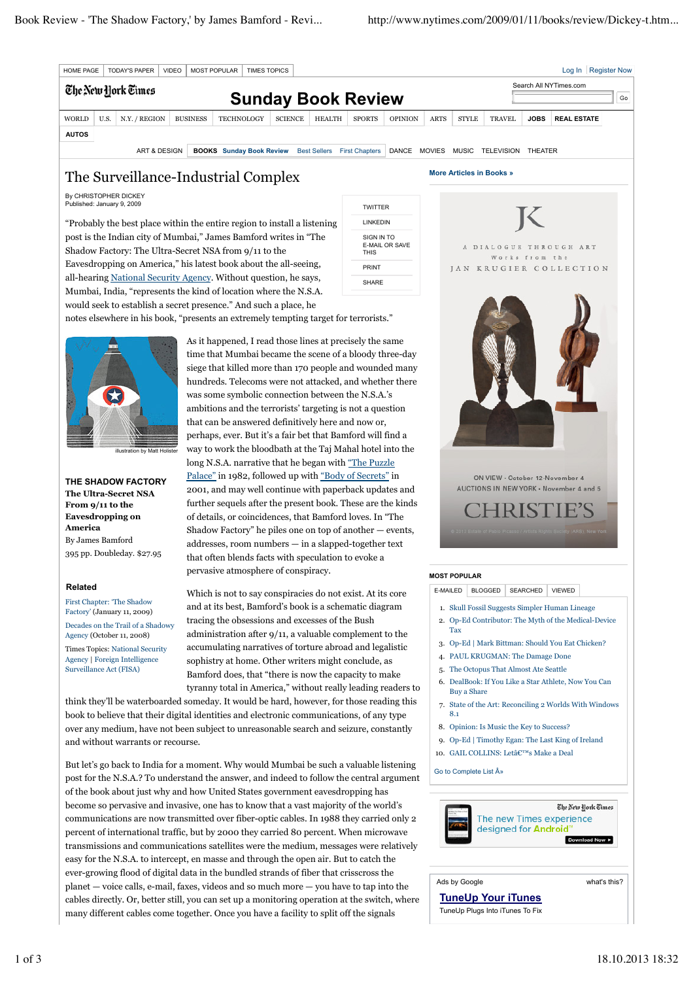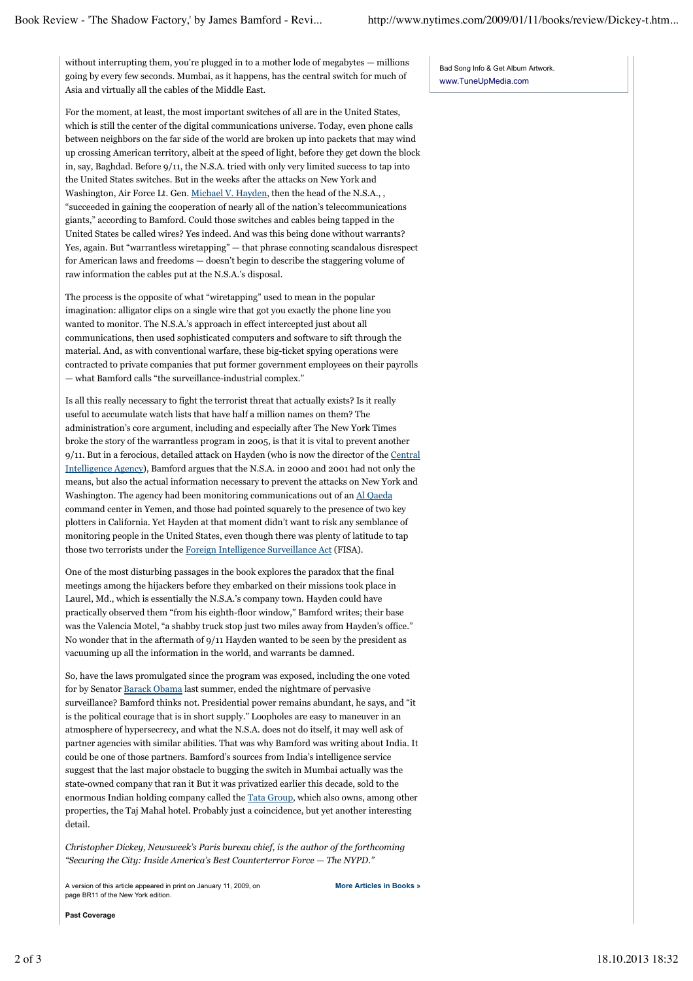without interrupting them, you're plugged in to a mother lode of megabytes — millions going by every few seconds. Mumbai, as it happens, has the central switch for much of Asia and virtually all the cables of the Middle East.

For the moment, at least, the most important switches of all are in the United States, which is still the center of the digital communications universe. Today, even phone calls between neighbors on the far side of the world are broken up into packets that may wind up crossing American territory, albeit at the speed of light, before they get down the block in, say, Baghdad. Before 9/11, the N.S.A. tried with only very limited success to tap into the United States switches. But in the weeks after the attacks on New York and Washington, Air Force Lt. Gen. Michael V. Hayden, then the head of the N.S.A., "succeeded in gaining the cooperation of nearly all of the nation's telecommunications giants," according to Bamford. Could those switches and cables being tapped in the United States be called wires? Yes indeed. And was this being done without warrants? Yes, again. But "warrantless wiretapping" — that phrase connoting scandalous disrespect for American laws and freedoms — doesn't begin to describe the staggering volume of raw information the cables put at the N.S.A.'s disposal.

The process is the opposite of what "wiretapping" used to mean in the popular imagination: alligator clips on a single wire that got you exactly the phone line you wanted to monitor. The N.S.A.'s approach in effect intercepted just about all communications, then used sophisticated computers and software to sift through the material. And, as with conventional warfare, these big-ticket spying operations were contracted to private companies that put former government employees on their payrolls — what Bamford calls "the surveillance-industrial complex."

Is all this really necessary to fight the terrorist threat that actually exists? Is it really useful to accumulate watch lists that have half a million names on them? The administration's core argument, including and especially after The New York Times broke the story of the warrantless program in 2005, is that it is vital to prevent another 9/11. But in a ferocious, detailed attack on Hayden (who is now the director of the Central Intelligence Agency), Bamford argues that the N.S.A. in 2000 and 2001 had not only the means, but also the actual information necessary to prevent the attacks on New York and Washington. The agency had been monitoring communications out of an Al Qaeda command center in Yemen, and those had pointed squarely to the presence of two key plotters in California. Yet Hayden at that moment didn't want to risk any semblance of monitoring people in the United States, even though there was plenty of latitude to tap those two terrorists under the Foreign Intelligence Surveillance Act (FISA).

One of the most disturbing passages in the book explores the paradox that the final meetings among the hijackers before they embarked on their missions took place in Laurel, Md., which is essentially the N.S.A.'s company town. Hayden could have practically observed them "from his eighth-floor window," Bamford writes; their base was the Valencia Motel, "a shabby truck stop just two miles away from Hayden's office." No wonder that in the aftermath of 9/11 Hayden wanted to be seen by the president as vacuuming up all the information in the world, and warrants be damned.

So, have the laws promulgated since the program was exposed, including the one voted for by Senator Barack Obama last summer, ended the nightmare of pervasive surveillance? Bamford thinks not. Presidential power remains abundant, he says, and "it is the political courage that is in short supply." Loopholes are easy to maneuver in an atmosphere of hypersecrecy, and what the N.S.A. does not do itself, it may well ask of partner agencies with similar abilities. That was why Bamford was writing about India. It could be one of those partners. Bamford's sources from India's intelligence service suggest that the last major obstacle to bugging the switch in Mumbai actually was the state-owned company that ran it But it was privatized earlier this decade, sold to the enormous Indian holding company called the Tata Group, which also owns, among other properties, the Taj Mahal hotel. Probably just a coincidence, but yet another interesting detail.

*Christopher Dickey, Newsweek's Paris bureau chief, is the author of the forthcoming "Securing the City: Inside America's Best Counterterror Force — The NYPD."*

A version of this article appeared in print on January 11, 2009, on **More Articles in Books** » page BR11 of the New York edition.

Bad Song Info & Get Album Artwork. www.TuneUpMedia.com

**Past Coverage**